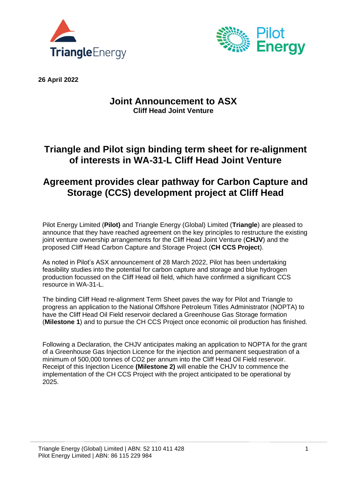



**26 April 2022**

### **Joint Announcement to ASX Cliff Head Joint Venture**

# **Triangle and Pilot sign binding term sheet for re-alignment of interests in WA-31-L Cliff Head Joint Venture**

# **Agreement provides clear pathway for Carbon Capture and Storage (CCS) development project at Cliff Head**

Pilot Energy Limited (**Pilot)** and Triangle Energy (Global) Limited (**Triangle**) are pleased to announce that they have reached agreement on the key principles to restructure the existing joint venture ownership arrangements for the Cliff Head Joint Venture (**CHJV**) and the proposed Cliff Head Carbon Capture and Storage Project (**CH CCS Project**).

As noted in Pilot's ASX announcement of 28 March 2022, Pilot has been undertaking feasibility studies into the potential for carbon capture and storage and blue hydrogen production focussed on the Cliff Head oil field, which have confirmed a significant CCS resource in WA-31-L.

The binding Cliff Head re-alignment Term Sheet paves the way for Pilot and Triangle to progress an application to the National Offshore Petroleum Titles Administrator (NOPTA) to have the Cliff Head Oil Field reservoir declared a Greenhouse Gas Storage formation (**Milestone 1**) and to pursue the CH CCS Project once economic oil production has finished.

Following a Declaration, the CHJV anticipates making an application to NOPTA for the grant of a Greenhouse Gas Injection Licence for the injection and permanent sequestration of a minimum of 500,000 tonnes of CO2 per annum into the Cliff Head Oil Field reservoir. Receipt of this Injection Licence **(Milestone 2)** will enable the CHJV to commence the implementation of the CH CCS Project with the project anticipated to be operational by 2025.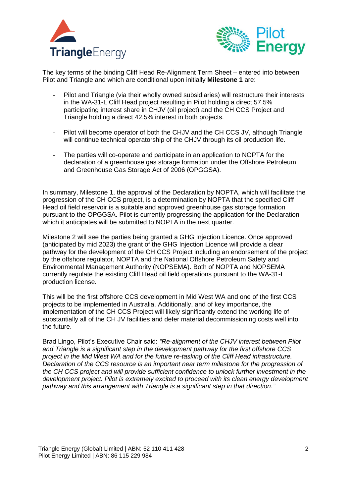



The key terms of the binding Cliff Head Re-Alignment Term Sheet – entered into between Pilot and Triangle and which are conditional upon initially **Milestone 1** are:

- Pilot and Triangle (via their wholly owned subsidiaries) will restructure their interests in the WA-31-L Cliff Head project resulting in Pilot holding a direct 57.5% participating interest share in CHJV (oil project) and the CH CCS Project and Triangle holding a direct 42.5% interest in both projects.
- Pilot will become operator of both the CHJV and the CH CCS JV, although Triangle will continue technical operatorship of the CHJV through its oil production life.
- The parties will co-operate and participate in an application to NOPTA for the declaration of a greenhouse gas storage formation under the Offshore Petroleum and Greenhouse Gas Storage Act of 2006 (OPGGSA).

In summary, Milestone 1, the approval of the Declaration by NOPTA, which will facilitate the progression of the CH CCS project, is a determination by NOPTA that the specified Cliff Head oil field reservoir is a suitable and approved greenhouse gas storage formation pursuant to the OPGGSA. Pilot is currently progressing the application for the Declaration which it anticipates will be submitted to NOPTA in the next quarter.

Milestone 2 will see the parties being granted a GHG Injection Licence. Once approved (anticipated by mid 2023) the grant of the GHG Injection Licence will provide a clear pathway for the development of the CH CCS Project including an endorsement of the project by the offshore regulator, NOPTA and the National Offshore Petroleum Safety and Environmental Management Authority (NOPSEMA). Both of NOPTA and NOPSEMA currently regulate the existing Cliff Head oil field operations pursuant to the WA-31-L production license.

This will be the first offshore CCS development in Mid West WA and one of the first CCS projects to be implemented in Australia. Additionally, and of key importance, the implementation of the CH CCS Project will likely significantly extend the working life of substantially all of the CH JV facilities and defer material decommissioning costs well into the future.

Brad Lingo, Pilot's Executive Chair said: *"Re-alignment of the CHJV interest between Pilot and Triangle is a significant step in the development pathway for the first offshore CCS project in the Mid West WA and for the future re-tasking of the Cliff Head infrastructure. Declaration of the CCS resource is an important near term milestone for the progression of the CH CCS project and will provide sufficient confidence to unlock further investment in the development project. Pilot is extremely excited to proceed with its clean energy development pathway and this arrangement with Triangle is a significant step in that direction."*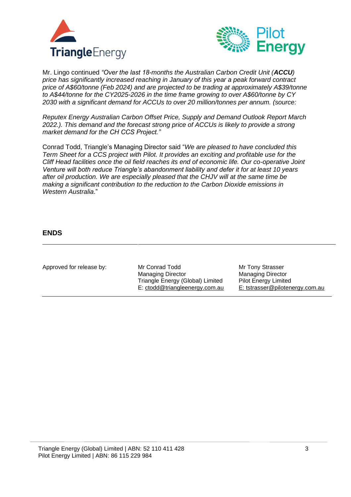



Mr. Lingo continued *"Over the last 18-months the Australian Carbon Credit Unit (ACCU) price has significantly increased reaching in January of this year a peak forward contract price of A\$60/tonne (Feb 2024) and are projected to be trading at approximately A\$39/tonne to A\$44/tonne for the CY2025-2026 in the time frame growing to over A\$60/tonne by CY 2030 with a significant demand for ACCUs to over 20 million/tonnes per annum. (source:*

*Reputex Energy Australian Carbon Offset Price, Supply and Demand Outlook Report March 2022.). This demand and the forecast strong price of ACCUs is likely to provide a strong market demand for the CH CCS Project."* 

Conrad Todd, Triangle's Managing Director said "*We are pleased to have concluded this Term Sheet for a CCS project with Pilot. It provides an exciting and profitable use for the Cliff Head facilities once the oil field reaches its end of economic life. Our co-operative Joint Venture will both reduce Triangle's abandonment liability and defer it for at least 10 years after oil production. We are especially pleased that the CHJV will at the same time be making a significant contribution to the reduction to the Carbon Dioxide emissions in Western Australia*."

### **ENDS**

| Approved for release by: | Mr Conrad Todd<br><b>Managing Director</b>                         | Mr Tony Strasser<br><b>Managing Director</b>                   |
|--------------------------|--------------------------------------------------------------------|----------------------------------------------------------------|
|                          | Triangle Energy (Global) Limited<br>E: ctodd@triangleenergy.com.au | <b>Pilot Energy Limited</b><br>E: tstrasser@pilotenergy.com.au |
|                          |                                                                    |                                                                |